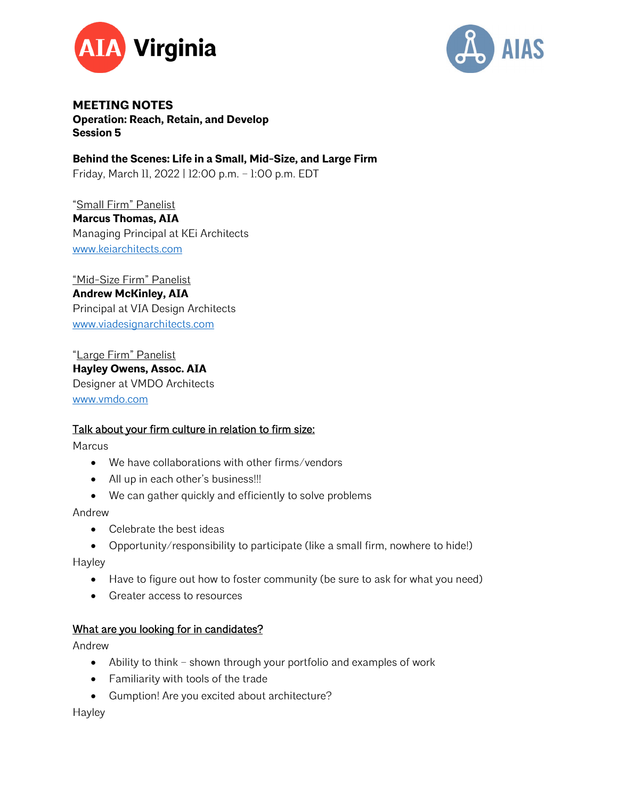



**MEETING NOTES Operation: Reach, Retain, and Develop Session 5**

**Behind the Scenes: Life in a Small, Mid-Size, and Large Firm** Friday, March 11, 2022 | 12:00 p.m. – 1:00 p.m. EDT

"Small Firm" Panelist **Marcus Thomas, AIA** Managing Principal at KEi Architects [www.k](http://www.hewv.com/)eiarchitects.com

"Mid-Size Firm" Panelist **Andrew McKinley, AIA** Principal at VIA Design Architects [www.v](http://www.hewv.com/)iadesignarchitects.com

"Large Firm" Panelist **Hayley Owens, Assoc. AIA** Designer at VMDO Architects [www.v](http://www./)mdo.com

## Talk about your firm culture in relation to firm size:

**Marcus** 

- We have collaborations with other firms/vendors
- All up in each other's business!!!
- We can gather quickly and efficiently to solve problems

Andrew

- Celebrate the best ideas
- Opportunity/responsibility to participate (like a small firm, nowhere to hide!)

Hayley

- Have to figure out how to foster community (be sure to ask for what you need)
- Greater access to resources

## What are you looking for in candidates?

Andrew

- Ability to think shown through your portfolio and examples of work
- Familiarity with tools of the trade
- Gumption! Are you excited about architecture?

Hayley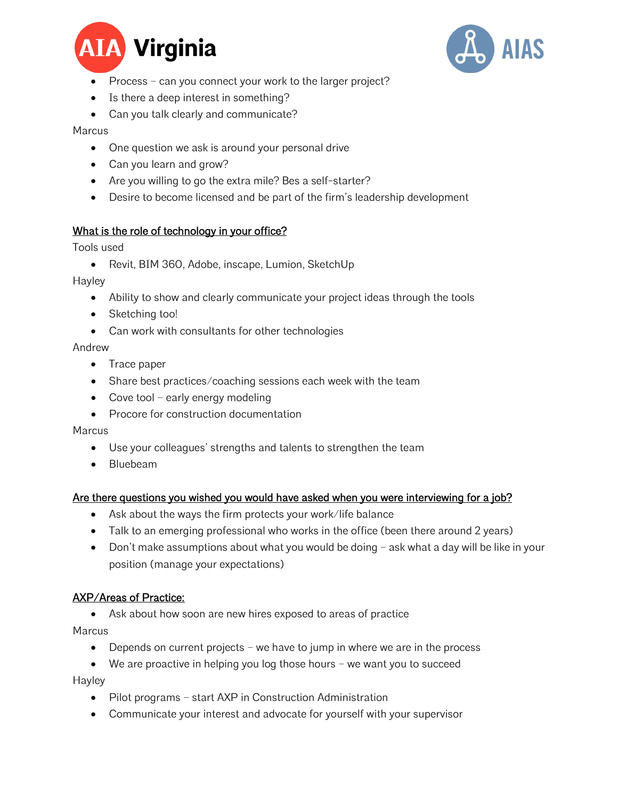



- Process can you connect your work to the larger project?
- Is there a deep interest in something?
- Can you talk clearly and communicate?

#### **Marcus**

- One question we ask is around your personal drive
- Can you learn and grow?
- Are you willing to go the extra mile? Bes a self-starter?
- Desire to become licensed and be part of the firm's leadership development

## What is the role of technology in your office?

Tools used

• Revit, BIM 360, Adobe, inscape, Lumion, SketchUp

Hayley

- Ability to show and clearly communicate your project ideas through the tools
- Sketching too!
- Can work with consultants for other technologies

#### Andrew

- Trace paper
- Share best practices/coaching sessions each week with the team
- Cove tool early energy modeling
- Procore for construction documentation

**Marcus** 

- Use your colleagues' strengths and talents to strengthen the team
- Bluebeam

## Are there questions you wished you would have asked when you were interviewing for a job?

- Ask about the ways the firm protects your work/life balance
- Talk to an emerging professional who works in the office (been there around 2 years)
- Don't make assumptions about what you would be doing ask what a day will be like in your position (manage your expectations)

# AXP/Areas of Practice:

• Ask about how soon are new hires exposed to areas of practice

**Marcus** 

- Depends on current projects we have to jump in where we are in the process
- We are proactive in helping you log those hours we want you to succeed

Hayley

- Pilot programs start AXP in Construction Administration
- Communicate your interest and advocate for yourself with your supervisor